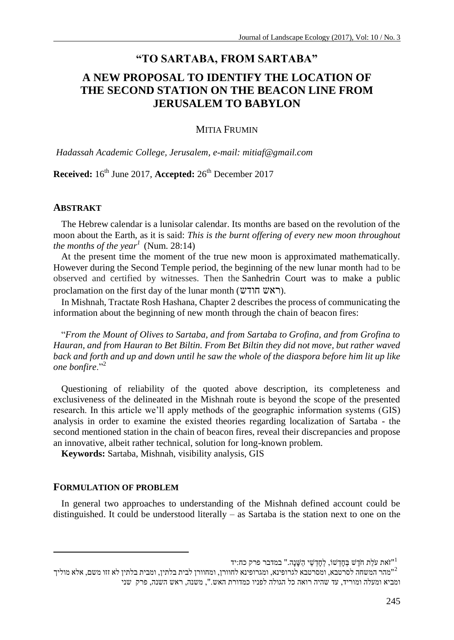# **"TO SARTABA, FROM SARTABA"**

# **A NEW PROPOSAL TO IDENTIFY THE LOCATION OF THE SECOND STATION ON THE BEACON LINE FROM JERUSALEM TO BABYLON**

#### MITIA FRUMIN

*Hadassah Academic College, Jerusalem, e-mail: mitiaf@gmail.com*

**Received:** 16th June 2017, **Accepted:** 26th December 2017

#### **ABSTRAKT**

The Hebrew calendar is a lunisolar calendar. Its months are based on the revolution of the moon about the Earth, as it is said: *This is the burnt offering of every new moon throughout the months of the year<sup>1</sup>* (Num. 28:14)

At the present time the moment of the true new moon is approximated mathematically. However during the Second Temple period, the beginning of the new lunar month had to be observed and certified by witnesses. Then the Sanhedrin Court was to make a public proclamation on the first day of the lunar month (ראש חודש).

In Mishnah, Tractate Rosh Hashana, Chapter 2 describes the process of communicating the information about the beginning of new month through the chain of beacon fires:

"*From the Mount of Olives to Sartaba, and from Sartaba to Grofina, and from Grofina to Hauran, and from Hauran to Bet Biltin. From Bet Biltin they did not move, but rather waved back and forth and up and down until he saw the whole of the diaspora before him lit up like one bonfire*."<sup>2</sup>

Questioning of reliability of the quoted above description, its completeness and exclusiveness of the delineated in the Mishnah route is beyond the scope of the presented research. In this article we'll apply methods of the geographic information systems (GIS) analysis in order to examine the existed theories regarding localization of Sartaba - the second mentioned station in the chain of beacon fires, reveal their discrepancies and propose an innovative, albeit rather technical, solution for long-known problem.

**Keywords:** Sartaba, Mishnah, visibility analysis, GIS

#### **FORMULATION OF PROBLEM**

 $\overline{a}$ 

In general two approaches to understanding of the Mishnah defined account could be distinguished. It could be understood literally – as Sartaba is the station next to one on the

וֹאת עֹלַת חֹדֶשׁ בְּחָדְשׁוֹ, לְחָדְשֵׁי הַשֶּׁנָה." במדבר פרק כח:יד $^{\rm u}$ 

<sup>2</sup> "מהר המשחה לסרטבא, ומסרטבא לגרופינא, ומגרופינא לחוורן, ומחוורן לבית בלתין, ומבית בלתין לא זזו משם, אלא מוליך ומביא ומעלה ומוריד, עד שהיה רואה כל הגולה לפניו כמדורת האש.", משנה, ראש השנה, פרק שני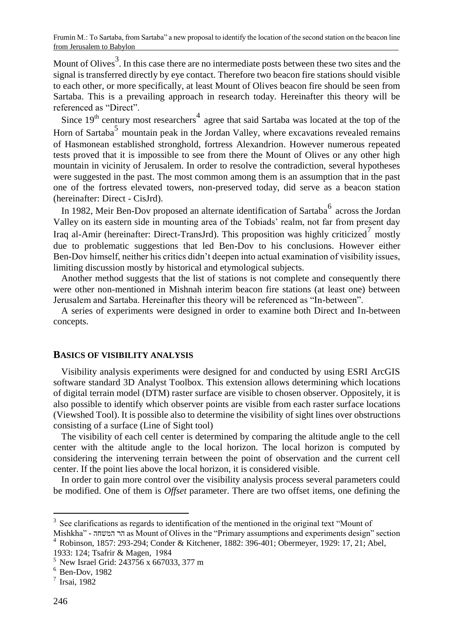Mount of Olives<sup>3</sup>. In this case there are no intermediate posts between these two sites and the signal is transferred directly by eye contact. Therefore two beacon fire stations should visible to each other, or more specifically, at least Mount of Olives beacon fire should be seen from Sartaba. This is a prevailing approach in research today. Hereinafter this theory will be referenced as "Direct".

Since  $19<sup>th</sup>$  century most researchers<sup>4</sup> agree that said Sartaba was located at the top of the Horn of Sartaba<sup>5</sup> mountain peak in the Jordan Valley, where excavations revealed remains of Hasmonean established stronghold, fortress Alexandrion. However numerous repeated tests proved that it is impossible to see from there the Mount of Olives or any other high mountain in vicinity of Jerusalem. In order to resolve the contradiction, several hypotheses were suggested in the past. The most common among them is an assumption that in the past one of the fortress elevated towers, non-preserved today, did serve as a beacon station (hereinafter: Direct - CisJrd).

In 1982, Meir Ben-Dov proposed an alternate identification of Sartaba $^6$  across the Jordan Valley on its eastern side in mounting area of the Tobiads' realm, not far from present day Iraq al-Amir (hereinafter: Direct-TransJrd). This proposition was highly criticized<sup>7</sup> mostly due to problematic suggestions that led Ben-Dov to his conclusions. However either Ben-Dov himself, neither his critics didn't deepen into actual examination of visibility issues, limiting discussion mostly by historical and etymological subjects.

Another method suggests that the list of stations is not complete and consequently there were other non-mentioned in Mishnah interim beacon fire stations (at least one) between Jerusalem and Sartaba. Hereinafter this theory will be referenced as "In-between".

A series of experiments were designed in order to examine both Direct and In-between concepts.

#### **BASICS OF VISIBILITY ANALYSIS**

Visibility analysis experiments were designed for and conducted by using ESRI ArcGIS software standard 3D Analyst Toolbox. This extension allows determining which locations of digital terrain model (DTM) raster surface are visible to chosen observer. Oppositely, it is also possible to identify which observer points are visible from each raster surface locations (Viewshed Tool). It is possible also to determine the visibility of sight lines over obstructions consisting of a surface (Line of Sight tool)

The visibility of each cell center is determined by comparing the altitude angle to the cell center with the altitude angle to the local horizon. The local horizon is computed by considering the intervening terrain between the point of observation and the current cell center. If the point lies above the local horizon, it is considered visible.

In order to gain more control over the visibility analysis process several parameters could be modified. One of them is *Offset* parameter. There are two offset items, one defining the

<sup>&</sup>lt;sup>3</sup> See clarifications as regards to identification of the mentioned in the original text "Mount of

Mishkha" - המשחה הר as Mount of Olives in the "Primary assumptions and experiments design" section <sup>4</sup> Robinson, 1857: 293-294; Conder & Kitchener, 1882: 396-401; Obermeyer, 1929: 17, 21; Abel,

<sup>1933: 124;</sup> Tsafrir & Magen, 1984

<sup>5</sup> New Israel Grid: 243756 x 667033, 377 m

 $6$  Ben-Dov, 1982

<sup>7</sup> Irsai, 1982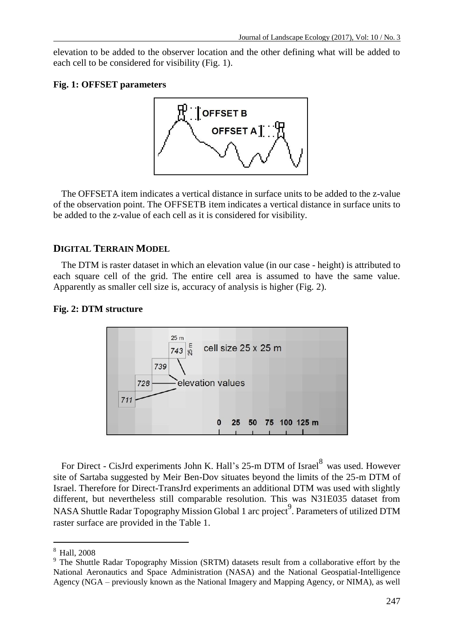elevation to be added to the observer location and the other defining what will be added to each cell to be considered for visibility (Fig. 1).

## **Fig. 1: OFFSET parameters**



The OFFSETA item indicates a vertical distance in surface units to be added to the z-value of the observation point. The OFFSETB item indicates a vertical distance in surface units to be added to the z-value of each cell as it is considered for visibility.

# **DIGITAL TERRAIN MODEL**

The DTM is raster dataset in which an elevation value (in our case - height) is attributed to each square cell of the grid. The entire cell area is assumed to have the same value. Apparently as smaller cell size is, accuracy of analysis is higher (Fig. 2).

# **Fig. 2: DTM structure**



For Direct - CisJrd experiments John K. Hall's 25-m DTM of Israel<sup>8</sup> was used. However site of Sartaba suggested by Meir Ben-Dov situates beyond the limits of the 25-m DTM of Israel. Therefore for Direct-TransJrd experiments an additional DTM was used with slightly different, but nevertheless still comparable resolution. This was N31E035 dataset from NASA Shuttle Radar Topography Mission Global 1 arc project<sup>9</sup>. Parameters of utilized DTM raster surface are provided in the Table 1.

l

<sup>8</sup> Hall, 2008

<sup>&</sup>lt;sup>9</sup> The Shuttle Radar Topography Mission (SRTM) datasets result from a collaborative effort by the National Aeronautics and Space Administration (NASA) and the National Geospatial-Intelligence Agency (NGA – previously known as the National Imagery and Mapping Agency, or NIMA), as well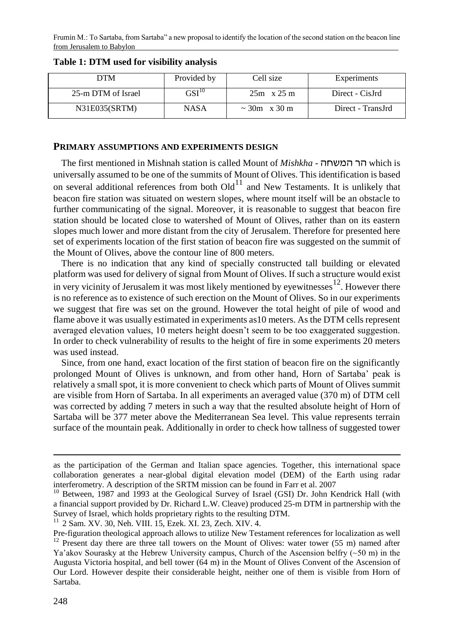| DТM                | Provided by | Cell size             | Experiments       |  |
|--------------------|-------------|-----------------------|-------------------|--|
| 25-m DTM of Israel | $GSI^{10}$  | $25m \times 25m$      | Direct - CisJrd   |  |
| N31E035(SRTM)      | <b>NASA</b> | $\approx 30$ m x 30 m | Direct - TransJrd |  |

# **Table 1: DTM used for visibility analysis**

#### **PRIMARY ASSUMPTIONS AND EXPERIMENTS DESIGN**

The first mentioned in Mishnah station is called Mount of *Mishkha* - המשחה הר which is universally assumed to be one of the summits of Mount of Olives. This identification is based on several additional references from both  $Old<sup>11</sup>$  and New Testaments. It is unlikely that beacon fire station was situated on western slopes, where mount itself will be an obstacle to further communicating of the signal. Moreover, it is reasonable to suggest that beacon fire station should be located close to watershed of Mount of Olives, rather than on its eastern slopes much lower and more distant from the city of Jerusalem. Therefore for presented here set of experiments location of the first station of beacon fire was suggested on the summit of the Mount of Olives, above the contour line of 800 meters.

There is no indication that any kind of specially constructed tall building or elevated platform was used for delivery of signal from Mount of Olives. If such a structure would exist in very vicinity of Jerusalem it was most likely mentioned by eyewitnesses $12$ . However there is no reference as to existence of such erection on the Mount of Olives. So in our experiments we suggest that fire was set on the ground. However the total height of pile of wood and flame above it was usually estimated in experiments as10 meters. As the DTM cells represent averaged elevation values, 10 meters height doesn't seem to be too exaggerated suggestion. In order to check vulnerability of results to the height of fire in some experiments 20 meters was used instead.

Since, from one hand, exact location of the first station of beacon fire on the significantly prolonged Mount of Olives is unknown, and from other hand, Horn of Sartaba' peak is relatively a small spot, it is more convenient to check which parts of Mount of Olives summit are visible from Horn of Sartaba. In all experiments an averaged value (370 m) of DTM cell was corrected by adding 7 meters in such a way that the resulted absolute height of Horn of Sartaba will be 377 meter above the Mediterranean Sea level. This value represents terrain surface of the mountain peak. Additionally in order to check how tallness of suggested tower

<sup>11</sup> 2 Sam. XV. 30, Neh. VIII. 15, Ezek. XI. 23, Zech. XIV. 4.

 $\overline{a}$ 

as the participation of the German and Italian space agencies. Together, this international space collaboration generates a near-global digital elevation model (DEM) of the Earth using radar interferometry. A description of the SRTM mission can be found in Farr et al. 2007

<sup>&</sup>lt;sup>10</sup> Between, 1987 and 1993 at the Geological Survey of Israel (GSI) Dr. John Kendrick Hall (with a financial support provided by Dr. Richard L.W. Cleave) produced 25-m DTM in partnership with the Survey of Israel, which holds proprietary rights to the resulting DTM.

Pre-figuration theological approach allows to utilize New Testament references for localization as well  $12$  Present day there are three tall towers on the Mount of Olives: water tower (55 m) named after Ya'akov Sourasky at the Hebrew University campus, Church of the Ascension belfry  $(\sim 50 \text{ m})$  in the Augusta Victoria hospital, and bell tower (64 m) in the Mount of Olives Convent of the Ascension of Our Lord. However despite their considerable height, neither one of them is visible from Horn of Sartaba.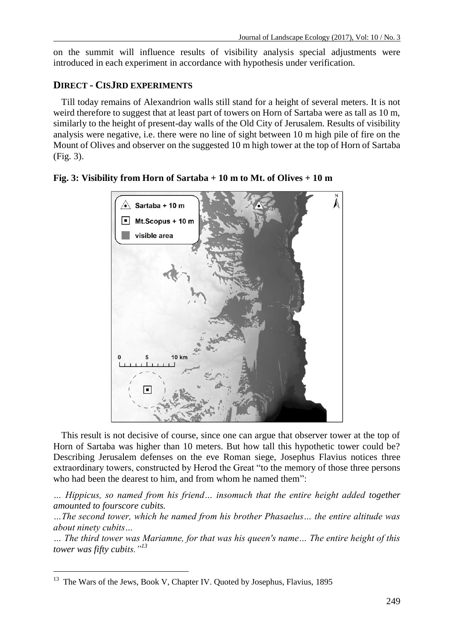on the summit will influence results of visibility analysis special adjustments were introduced in each experiment in accordance with hypothesis under verification.

# **DIRECT - CISJRD EXPERIMENTS**

Till today remains of Alexandrion walls still stand for a height of several meters. It is not weird therefore to suggest that at least part of towers on Horn of Sartaba were as tall as 10 m, similarly to the height of present-day walls of the Old City of Jerusalem. Results of visibility analysis were negative, i.e. there were no line of sight between 10 m high pile of fire on the Mount of Olives and observer on the suggested 10 m high tower at the top of Horn of Sartaba (Fig. 3).



**Fig. 3: Visibility from Horn of Sartaba + 10 m to Mt. of Olives + 10 m**

This result is not decisive of course, since one can argue that observer tower at the top of Horn of Sartaba was higher than 10 meters. But how tall this hypothetic tower could be? Describing Jerusalem defenses on the eve Roman siege, Josephus Flavius notices three extraordinary towers, constructed by Herod the Great "to the memory of those three persons who had been the dearest to him, and from whom he named them":

*… Hippicus, so named from his friend… insomuch that the entire height added together amounted to fourscore cubits.* 

*…The second tower, which he named from his brother Phasaelus… the entire altitude was about ninety cubits…*

*… The third tower was Mariamne, for that was his queen's name… The entire height of this tower was fifty cubits."<sup>13</sup>* 

 $\overline{a}$ <sup>13</sup> The Wars of the Jews, Book V, Chapter IV. Quoted by Josephus, Flavius, 1895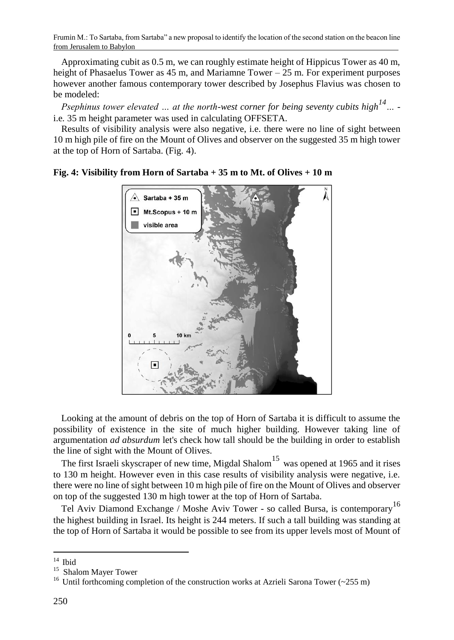Approximating cubit as 0.5 m, we can roughly estimate height of Hippicus Tower as 40 m, height of Phasaelus Tower as  $45$  m, and Mariamne Tower  $-25$  m. For experiment purposes however another famous contemporary tower described by Josephus Flavius was chosen to be modeled:

*Psephinus tower elevated … at the north-west corner for being seventy cubits high14…*  i.e*.* 35 m height parameter was used in calculating OFFSETA.

Results of visibility analysis were also negative, i.e. there were no line of sight between 10 m high pile of fire on the Mount of Olives and observer on the suggested 35 m high tower at the top of Horn of Sartaba. (Fig. 4).



**Fig. 4: Visibility from Horn of Sartaba + 35 m to Mt. of Olives + 10 m**

Looking at the amount of debris on the top of Horn of Sartaba it is difficult to assume the possibility of existence in the site of much higher building. However taking line of argumentation *ad absurdum* let's check how tall should be the building in order to establish the line of sight with the Mount of Olives.

The first Israeli skyscraper of new time, Migdal Shalom<sup>15</sup> was opened at 1965 and it rises to 130 m height. However even in this case results of visibility analysis were negative, i.e. there were no line of sight between 10 m high pile of fire on the Mount of Olives and observer on top of the suggested 130 m high tower at the top of Horn of Sartaba.

Tel Aviv Diamond Exchange / Moshe Aviv Tower - so called Bursa, is contemporary<sup>16</sup> the highest building in Israel. Its height is 244 meters. If such a tall building was standing at the top of Horn of Sartaba it would be possible to see from its upper levels most of Mount of

 $\overline{a}$  $14$  Ibid

<sup>15</sup> Shalom Mayer Tower

<sup>&</sup>lt;sup>16</sup> Until forthcoming completion of the construction works at Azrieli Sarona Tower ( $\sim$ 255 m)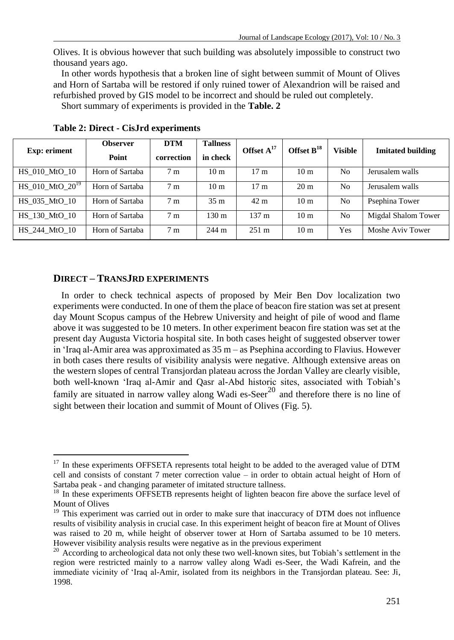Olives. It is obvious however that such building was absolutely impossible to construct two thousand years ago.

In other words hypothesis that a broken line of sight between summit of Mount of Olives and Horn of Sartaba will be restored if only ruined tower of Alexandrion will be raised and refurbished proved by GIS model to be incorrect and should be ruled out completely.

Short summary of experiments is provided in the **Table. 2**

| <b>Exp:</b> eriment    | <b>Observer</b><br>Point | <b>DTM</b><br>correction | <b>Tallness</b><br>in check | Offset $A^{17}$  | Offset $B^{18}$ | Visible        | <b>Imitated building</b> |
|------------------------|--------------------------|--------------------------|-----------------------------|------------------|-----------------|----------------|--------------------------|
| HS 010 MtO 10          | Horn of Sartaba          | 7 <sub>m</sub>           | 10 <sub>m</sub>             | 17 <sub>m</sub>  | 10 <sub>m</sub> | N <sub>0</sub> | Jerusalem walls          |
| $HS_010$ MtO $20^{19}$ | Horn of Sartaba          | 7 <sub>m</sub>           | 10 <sub>m</sub>             | 17 <sub>m</sub>  | $20 \text{ m}$  | No             | Jerusalem walls          |
| HS 035 MtO 10          | Horn of Sartaba          | 7 <sub>m</sub>           | 35 <sub>m</sub>             | $42 \text{ m}$   | 10 <sub>m</sub> | N <sub>0</sub> | Psephina Tower           |
| HS 130 MtO 10          | Horn of Sartaba          | 7 <sub>m</sub>           | 130 m                       | 137 <sub>m</sub> | 10 <sub>m</sub> | No             | Migdal Shalom Tower      |
| HS 244 MtO 10          | Horn of Sartaba          | 7 <sub>m</sub>           | $244 \text{ m}$             | $251 \text{ m}$  | 10 <sub>m</sub> | Yes            | Moshe Aviv Tower         |

**Table 2: Direct - CisJrd experiments**

# **DIRECT – TRANSJRD EXPERIMENTS**

 $\overline{a}$ 

In order to check technical aspects of proposed by Meir Ben Dov localization two experiments were conducted. In one of them the place of beacon fire station was set at present day Mount Scopus campus of the Hebrew University and height of pile of wood and flame above it was suggested to be 10 meters. In other experiment beacon fire station was set at the present day Augusta Victoria hospital site. In both cases height of suggested observer tower in 'Iraq al-Amir area was approximated as 35 m – as Psephina according to Flavius. However in both cases there results of visibility analysis were negative. Although extensive areas on the western slopes of central Transjordan plateau across the Jordan Valley are clearly visible, both well-known 'Iraq al-Amir and Qasr al-Abd historic sites, associated with Tobiah's family are situated in narrow valley along Wadi es-Seer<sup>20</sup> and therefore there is no line of sight between their location and summit of Mount of Olives (Fig. 5).

 $17$  In these experiments OFFSETA represents total height to be added to the averaged value of DTM cell and consists of constant 7 meter correction value – in order to obtain actual height of Horn of Sartaba peak - and changing parameter of imitated structure tallness.

<sup>&</sup>lt;sup>18</sup> In these experiments OFFSETB represents height of lighten beacon fire above the surface level of Mount of Olives

<sup>&</sup>lt;sup>19</sup> This experiment was carried out in order to make sure that inaccuracy of DTM does not influence results of visibility analysis in crucial case. In this experiment height of beacon fire at Mount of Olives was raised to 20 m, while height of observer tower at Horn of Sartaba assumed to be 10 meters. However visibility analysis results were negative as in the previous experiment

<sup>&</sup>lt;sup>20</sup> According to archeological data not only these two well-known sites, but Tobiah's settlement in the region were restricted mainly to a narrow valley along Wadi es-Seer, the Wadi Kafrein, and the immediate vicinity of 'Iraq al-Amir, isolated from its neighbors in the Transjordan plateau. See: Ji, 1998.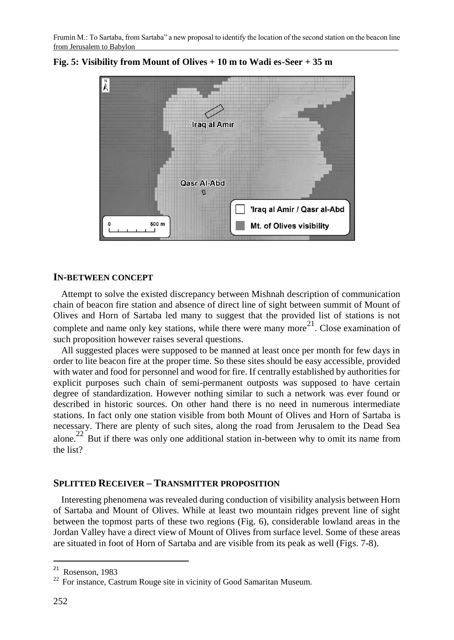

**Fig. 5: Visibility from Mount of Olives + 10 m to Wadi es-Seer + 35 m**

#### **IN-BETWEEN CONCEPT**

Attempt to solve the existed discrepancy between Mishnah description of communication chain of beacon fire station and absence of direct line of sight between summit of Mount of Olives and Horn of Sartaba led many to suggest that the provided list of stations is not complete and name only key stations, while there were many more<sup>21</sup>. Close examination of such proposition however raises several questions.

All suggested places were supposed to be manned at least once per month for few days in order to lite beacon fire at the proper time. So these sites should be easy accessible, provided with water and food for personnel and wood for fire. If centrally established by authorities for explicit purposes such chain of semi-permanent outposts was supposed to have certain degree of standardization. However nothing similar to such a network was ever found or described in historic sources. On other hand there is no need in numerous intermediate stations. In fact only one station visible from both Mount of Olives and Horn of Sartaba is necessary. There are plenty of such sites, along the road from Jerusalem to the Dead Sea alone.<sup>22</sup> But if there was only one additional station in-between why to omit its name from the list?

## **SPLITTED RECEIVER – TRANSMITTER PROPOSITION**

Interesting phenomena was revealed during conduction of visibility analysis between Horn of Sartaba and Mount of Olives. While at least two mountain ridges prevent line of sight between the topmost parts of these two regions (Fig. 6), considerable lowland areas in the Jordan Valley have a direct view of Mount of Olives from surface level. Some of these areas are situated in foot of Horn of Sartaba and are visible from its peak as well (Figs. 7-8).

 $\overline{a}$ 

 $21$  Rosenson, 1983

<sup>&</sup>lt;sup>22</sup> For instance, Castrum Rouge site in vicinity of Good Samaritan Museum.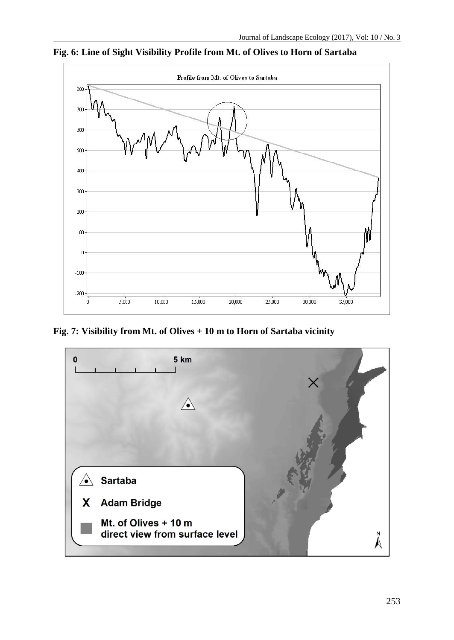

**Fig. 6: Line of Sight Visibility Profile from Mt. of Olives to Horn of Sartaba**

**Fig. 7: Visibility from Mt. of Olives + 10 m to Horn of Sartaba vicinity**

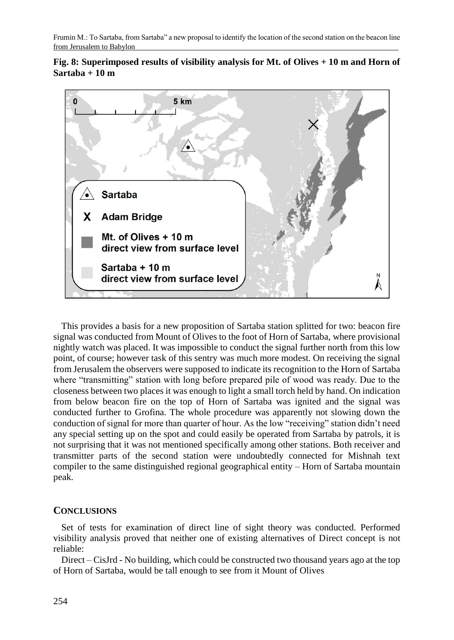



This provides a basis for a new proposition of Sartaba station splitted for two: beacon fire signal was conducted from Mount of Olives to the foot of Horn of Sartaba, where provisional nightly watch was placed. It was impossible to conduct the signal further north from this low point, of course; however task of this sentry was much more modest. On receiving the signal from Jerusalem the observers were supposed to indicate its recognition to the Horn of Sartaba where "transmitting" station with long before prepared pile of wood was ready. Due to the closeness between two places it was enough to light a small torch held by hand. On indication from below beacon fire on the top of Horn of Sartaba was ignited and the signal was conducted further to Grofina. The whole procedure was apparently not slowing down the conduction of signal for more than quarter of hour. As the low "receiving" station didn't need any special setting up on the spot and could easily be operated from Sartaba by patrols, it is not surprising that it was not mentioned specifically among other stations. Both receiver and transmitter parts of the second station were undoubtedly connected for Mishnah text compiler to the same distinguished regional geographical entity – Horn of Sartaba mountain peak.

# **CONCLUSIONS**

Set of tests for examination of direct line of sight theory was conducted. Performed visibility analysis proved that neither one of existing alternatives of Direct concept is not reliable:

Direct – CisJrd - No building, which could be constructed two thousand years ago at the top of Horn of Sartaba, would be tall enough to see from it Mount of Olives